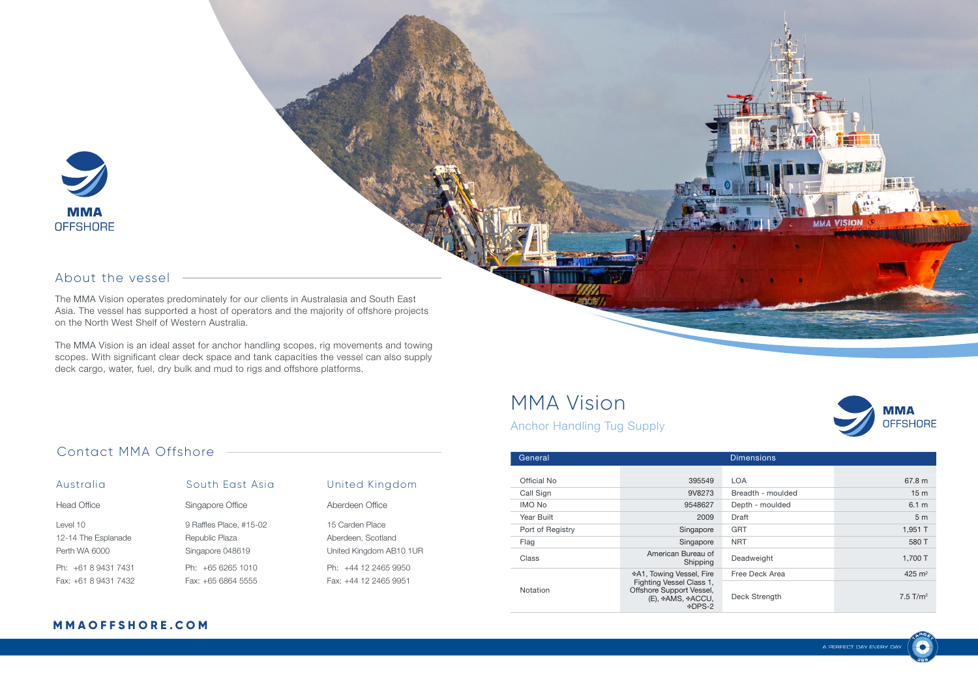

### About the vessel

The MMA Vision operates predominately for our clients in Australasia and South East Asia. The vessel has supported a host of operators and the majority of offshore projects on the North West Shelf of Western Australia.

The MMA Vision is an ideal asset for anchor handling scopes, rig movements and towing scopes. With significant clear deck space and tank capacities the vessel can also supply deck cargo, water, fuel, dry bulk and mud to rigs and offshore platforms.

## MMA Vision

**MMA OFFSHORE** 

VISION

Anchor Handling Tug Supply

| General          | <b>Dimensions</b>                                                                   |                   |                        |
|------------------|-------------------------------------------------------------------------------------|-------------------|------------------------|
|                  |                                                                                     |                   |                        |
| Official No      | 395549                                                                              | <b>LOA</b>        | 67.8 m                 |
| Call Sign        | 9V8273                                                                              | Breadth - moulded | 15 <sub>m</sub>        |
| <b>IMO No</b>    | 9548627                                                                             | Depth - moulded   | 6.1 m                  |
| Year Built       | 2009                                                                                | Draft             | 5 <sub>m</sub>         |
| Port of Registry | Singapore                                                                           | <b>GRT</b>        | 1,951 T                |
| Flag             | Singapore                                                                           | <b>NRT</b>        | 580 T                  |
| Class            | American Bureau of<br>Shipping                                                      | Deadweight        | 1,700 T                |
|                  | ⊕A1, Towing Vessel, Fire                                                            | Free Deck Area    | 425 $m2$               |
| Notation         | Fighting Vessel Class 1,<br>Offshore Support Vessel,<br>(E), #AMS, #ACCU,<br>⊕DPS-2 | Deck Strength     | $7.5$ T/m <sup>2</sup> |

### Contact MMA Offshore

| Australia           | South East Asia         |
|---------------------|-------------------------|
| Head Office         | Singapore Office        |
| Level 10            | 9 Raffles Place, #15-02 |
| 12-14 The Esplanade | Republic Plaza          |
| Perth WA 6000       | Singapore 048619        |
| Ph: +61 8 9431 7431 | Ph: +65 6265 1010       |
| $Fax + 61894317432$ | Fax: +65 6864 5555      |

| United Kingdom          |
|-------------------------|
| Aberdeen Office         |
| 15 Carden Place         |
| Aberdeen, Scotland      |
| United Kingdom AB10 1UR |
| Ph: +44 12 2465 9950    |
| Fax: +44 12 2465 9951   |

### **M M A O F F S H O R E . C O M**